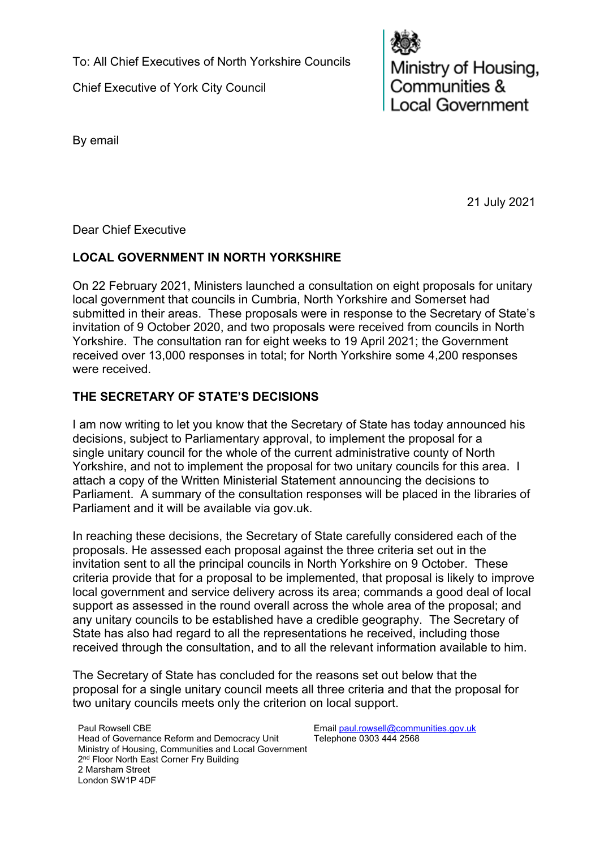To: All Chief Executives of North Yorkshire Councils

Chief Executive of York City Council



Ministry of Housing,<br>Communities & ocal Government

By email

21 July 2021

Dear Chief Executive

# **LOCAL GOVERNMENT IN NORTH YORKSHIRE**

On 22 February 2021, Ministers launched a consultation on eight proposals for unitary local government that councils in Cumbria, North Yorkshire and Somerset had submitted in their areas. These proposals were in response to the Secretary of State's invitation of 9 October 2020, and two proposals were received from councils in North Yorkshire.  The consultation ran for eight weeks to 19 April 2021; the Government received over 13,000 responses in total; for North Yorkshire some 4,200 responses were received.

## **THE SECRETARY OF STATE'S DECISIONS**

I am now writing to let you know that the Secretary of State has today announced his decisions, subject to Parliamentary approval, to implement the proposal for a single unitary council for the whole of the current administrative county of North Yorkshire, and not to implement the proposal for two unitary councils for this area. I attach a copy of the Written Ministerial Statement announcing the decisions to Parliament. A summary of the consultation responses will be placed in the libraries of Parliament and it will be available via gov.uk.

In reaching these decisions, the Secretary of State carefully considered each of the proposals. He assessed each proposal against the three criteria set out in the invitation sent to all the principal councils in North Yorkshire on 9 October. These criteria provide that for a proposal to be implemented, that proposal is likely to improve local government and service delivery across its area; commands a good deal of local support as assessed in the round overall across the whole area of the proposal; and any unitary councils to be established have a credible geography. The Secretary of State has also had regard to all the representations he received, including those received through the consultation, and to all the relevant information available to him.

The Secretary of State has concluded for the reasons set out below that the proposal for a single unitary council meets all three criteria and that the proposal for two unitary councils meets only the criterion on local support.

Paul Rowsell CBE Head of Governance Reform and Democracy Unit Ministry of Housing, Communities and Local Government 2<sup>nd</sup> Floor North East Corner Fry Building 2 Marsham Street London SW1P 4DF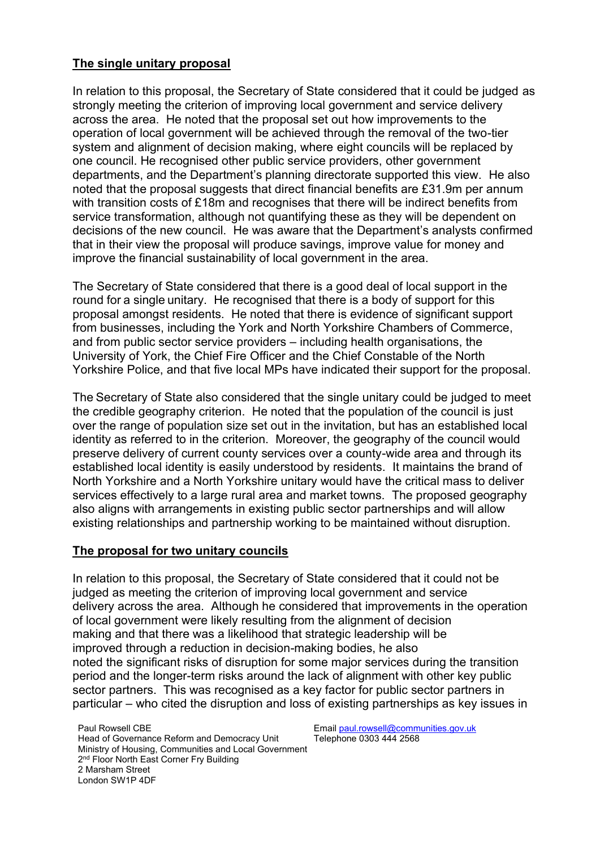#### **The single unitary proposal**

In relation to this proposal, the Secretary of State considered that it could be judged as strongly meeting the criterion of improving local government and service delivery across the area. He noted that the proposal set out how improvements to the operation of local government will be achieved through the removal of the two-tier system and alignment of decision making, where eight councils will be replaced by one council. He recognised other public service providers, other government departments, and the Department's planning directorate supported this view. He also noted that the proposal suggests that direct financial benefits are  $£31.9m$  per annum with transition costs of £18m and recognises that there will be indirect benefits from service transformation, although not quantifying these as they will be dependent on decisions of the new council. He was aware that the Department's analysts confirmed that in their view the proposal will produce savings, improve value for money and improve the financial sustainability of local government in the area.

The Secretary of State considered that there is a good deal of local support in the round for a single unitary. He recognised that there is a body of support for this proposal amongst residents. He noted that there is evidence of significant support from businesses, including the York and North Yorkshire Chambers of Commerce, and from public sector service providers – including health organisations, the University of York, the Chief Fire Officer and the Chief Constable of the North Yorkshire Police, and that five local MPs have indicated their support for the proposal.

The Secretary of State also considered that the single unitary could be judged to meet the credible geography criterion. He noted that the population of the council is just over the range of population size set out in the invitation, but has an established local identity as referred to in the criterion. Moreover, the geography of the council would preserve delivery of current county services over a county-wide area and through its established local identity is easily understood by residents. It maintains the brand of North Yorkshire and a North Yorkshire unitary would have the critical mass to deliver services effectively to a large rural area and market towns. The proposed geography also aligns with arrangements in existing public sector partnerships and will allow existing relationships and partnership working to be maintained without disruption.

## **The proposal for two unitary councils**

In relation to this proposal, the Secretary of State considered that it could not be judged as meeting the criterion of improving local government and service delivery across the area. Although he considered that improvements in the operation of local government were likely resulting from the alignment of decision making and that there was a likelihood that strategic leadership will be improved through a reduction in decision-making bodies, he also noted the significant risks of disruption for some major services during the transition period and the longer-term risks around the lack of alignment with other key public sector partners. This was recognised as a key factor for public sector partners in particular – who cited the disruption and loss of existing partnerships as key issues in

Paul Rowsell CBE Head of Governance Reform and Democracy Unit Ministry of Housing, Communities and Local Government 2<sup>nd</sup> Floor North East Corner Fry Building 2 Marsham Street London SW1P 4DF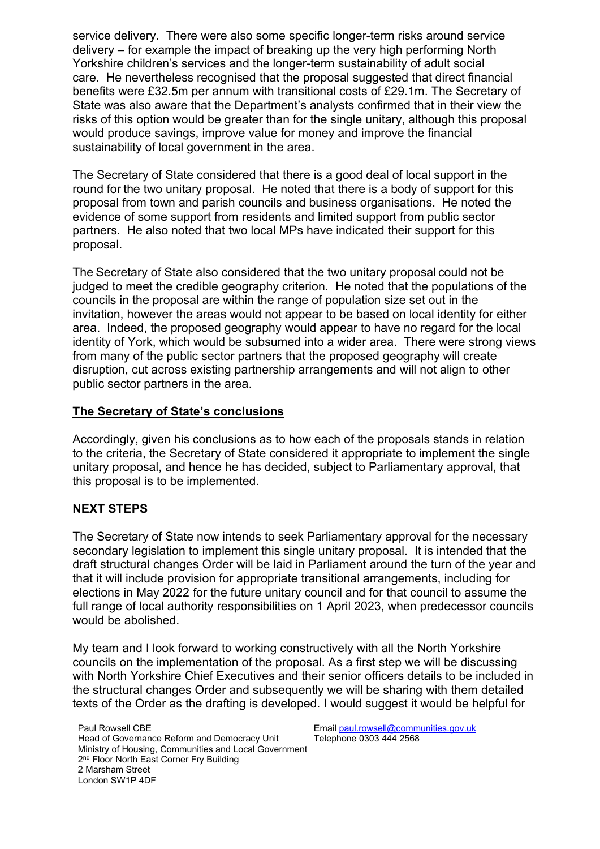service delivery. There were also some specific longer-term risks around service delivery – for example the impact of breaking up the very high performing North Yorkshire children's services and the longer-term sustainability of adult social care. He nevertheless recognised that the proposal suggested that direct financial benefits were £32.5m per annum with transitional costs of £29.1m. The Secretary of State was also aware that the Department's analysts confirmed that in their view the risks of this option would be greater than for the single unitary, although this proposal would produce savings, improve value for money and improve the financial sustainability of local government in the area.

The Secretary of State considered that there is a good deal of local support in the round for the two unitary proposal. He noted that there is a body of support for this proposal from town and parish councils and business organisations. He noted the evidence of some support from residents and limited support from public sector partners. He also noted that two local MPs have indicated their support for this proposal.

The Secretary of State also considered that the two unitary proposal could not be judged to meet the credible geography criterion. He noted that the populations of the councils in the proposal are within the range of population size set out in the invitation, however the areas would not appear to be based on local identity for either area. Indeed, the proposed geography would appear to have no regard for the local identity of York, which would be subsumed into a wider area. There were strong views from many of the public sector partners that the proposed geography will create disruption, cut across existing partnership arrangements and will not align to other public sector partners in the area.

#### **The Secretary of State's conclusions**

Accordingly, given his conclusions as to how each of the proposals stands in relation to the criteria, the Secretary of State considered it appropriate to implement the single unitary proposal, and hence he has decided, subject to Parliamentary approval, that this proposal is to be implemented.

## **NEXT STEPS**

The Secretary of State now intends to seek Parliamentary approval for the necessary secondary legislation to implement this single unitary proposal. It is intended that the draft structural changes Order will be laid in Parliament around the turn of the year and that it will include provision for appropriate transitional arrangements, including for elections in May 2022 for the future unitary council and for that council to assume the full range of local authority responsibilities on 1 April 2023, when predecessor councils would be abolished.

My team and I look forward to working constructively with all the North Yorkshire councils on the implementation of the proposal. As a first step we will be discussing with North Yorkshire Chief Executives and their senior officers details to be included in the structural changes Order and subsequently we will be sharing with them detailed texts of the Order as the drafting is developed. I would suggest it would be helpful for